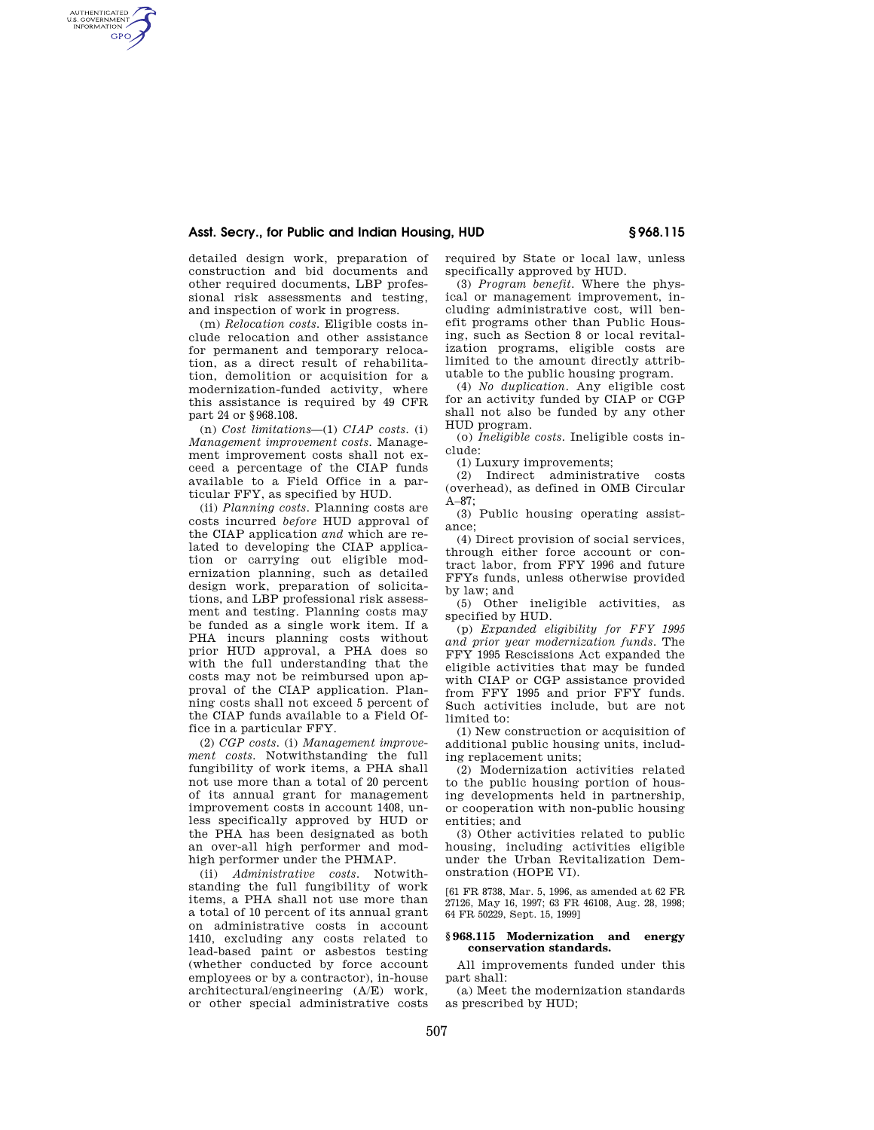# **Asst. Secry., for Public and Indian Housing, HUD § 968.115**

detailed design work, preparation of construction and bid documents and other required documents, LBP professional risk assessments and testing, and inspection of work in progress.

AUTHENTICATED<br>U.S. GOVERNMENT<br>INFORMATION **GPO** 

> (m) *Relocation costs.* Eligible costs include relocation and other assistance for permanent and temporary relocation, as a direct result of rehabilitation, demolition or acquisition for a modernization-funded activity, where this assistance is required by 49 CFR part 24 or §968.108.

> (n) *Cost limitations*—(1) *CIAP costs.* (i) *Management improvement costs.* Management improvement costs shall not exceed a percentage of the CIAP funds available to a Field Office in a particular FFY, as specified by HUD.

(ii) *Planning costs.* Planning costs are costs incurred *before* HUD approval of the CIAP application *and* which are related to developing the CIAP application or carrying out eligible modernization planning, such as detailed design work, preparation of solicitations, and LBP professional risk assessment and testing. Planning costs may be funded as a single work item. If a PHA incurs planning costs without prior HUD approval, a PHA does so with the full understanding that the costs may not be reimbursed upon approval of the CIAP application. Planning costs shall not exceed 5 percent of the CIAP funds available to a Field Office in a particular FFY.

(2) *CGP costs.* (i) *Management improvement costs.* Notwithstanding the full fungibility of work items, a PHA shall not use more than a total of 20 percent of its annual grant for management improvement costs in account 1408, unless specifically approved by HUD or the PHA has been designated as both an over-all high performer and modhigh performer under the PHMAP.

(ii) *Administrative costs.* Notwithstanding the full fungibility of work items, a PHA shall not use more than a total of 10 percent of its annual grant on administrative costs in account 1410, excluding any costs related to lead-based paint or asbestos testing (whether conducted by force account employees or by a contractor), in-house architectural/engineering (A/E) work, or other special administrative costs

required by State or local law, unless specifically approved by HUD.

(3) *Program benefit.* Where the physical or management improvement, including administrative cost, will benefit programs other than Public Housing, such as Section 8 or local revitalization programs, eligible costs are limited to the amount directly attributable to the public housing program.

(4) *No duplication.* Any eligible cost for an activity funded by CIAP or CGP shall not also be funded by any other HUD program.

(o) *Ineligible costs.* Ineligible costs include:

(1) Luxury improvements;

(2) Indirect administrative costs (overhead), as defined in OMB Circular A–87;

(3) Public housing operating assistance;

(4) Direct provision of social services, through either force account or contract labor, from FFY 1996 and future FFYs funds, unless otherwise provided by law; and

(5) Other ineligible activities, as specified by HUD.

(p) *Expanded eligibility for FFY 1995 and prior year modernization funds.* The FFY 1995 Rescissions Act expanded the eligible activities that may be funded with CIAP or CGP assistance provided from FFY 1995 and prior FFY funds. Such activities include, but are not limited to:

(1) New construction or acquisition of additional public housing units, including replacement units;

(2) Modernization activities related to the public housing portion of housing developments held in partnership, or cooperation with non-public housing entities; and

(3) Other activities related to public housing, including activities eligible under the Urban Revitalization Demonstration (HOPE VI).

[61 FR 8738, Mar. 5, 1996, as amended at 62 FR 27126, May 16, 1997; 63 FR 46108, Aug. 28, 1998; 64 FR 50229, Sept. 15, 1999]

# **§ 968.115 Modernization and energy conservation standards.**

All improvements funded under this part shall:

(a) Meet the modernization standards as prescribed by HUD;